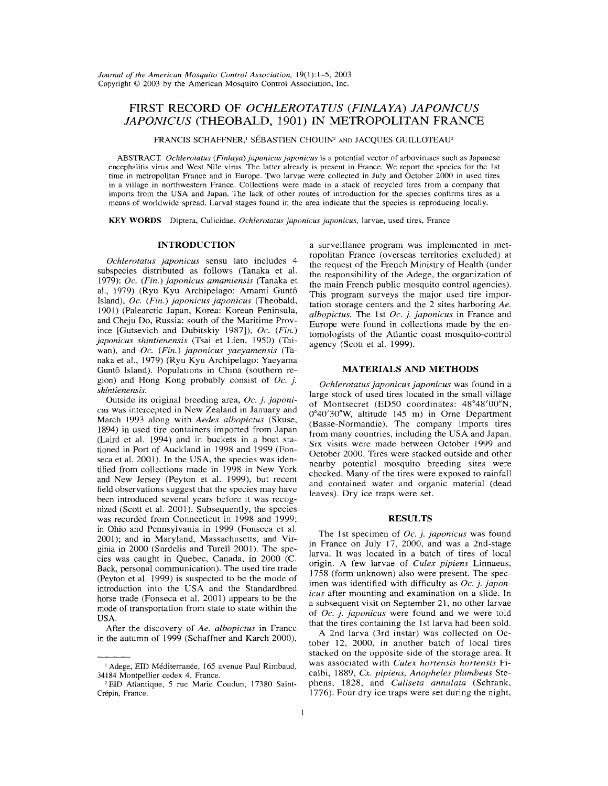# FIRST RECORD OF OCHLEROTATUS (FINLAYA) JAPONICUS JAPONICUS (THEOBALD, 1901) IN METROPOLITAN FRANCE

FRANCIS SCHAFFNER,<sup>1</sup> SÉBASTIEN CHOUIN<sup>2</sup> AND JACQUES GUILLOTEAU<sup>2</sup>

ABSTRACT. Ochlerotatus (Finlaya) japonicus japonicus is a potential vector of arboviruses such as Japanese encephalitis virus and West Nile virus. The latter already is present in France. We report the species for the 1st time in metropolitan France and in Europe. Two larvae were collected in July and October 2000 in used tires in a village in northwestern France. Collections were made in a stack of recycled tires from a company that imports from the USA and Japan. The lack of other routes of introduction for the species confirms tires as <sup>a</sup> means of worldwide spread. Larval stages found in the area indicate that the species is reproducing locally.

KEY WORDS Diptera, Culicidae, Ochlerotatus japonicus japonicus, larvae, used tires, France

## INTRODUCTION

Ochlerotatus japonicus sensu lato includes 4 subspecies distributed as follows (Tanaka et al. 1979): Oc. (Fin.) japonicus amamiensis (Tanaka et al., 1979) (Ryu Kyu Archipelago: Amami Guntô Island), Oc. (Fin.) japonicus japonicus (Theobald, 1901 (Palearctic Japan, Korea: Korean Peninsula, and Cheju Do, Russia: south of the Maritime Province [Gutsevich and Dubitskiy 1987]), Oc. (Fin.) japonicus shintienensis (Tsai et Lien, 1950) (Taiwan), and Oc. (Fin.) japonicus yaeyamensis (Tanaka et al., 1979) (Ryu Kyu Archipelago: Yaeyama Guntô Island). Populations in China (southern region) and Hong Kong probably consist of  $Oc$ . *j.* shintienensis.

Outside its original breeding area, Oc. j. japonicus was intercepted in New Zealand in January and March 1993 along with Aedes albopictus (Skuse, 894) in used tire containers imported from Japan (Laird et al. 1994) and in buckets in a boat stationed in Port of Auckland in 1998 and 1999 (Fonseca et al. 2001). In the USA, the species was identified from collections made in 1998 in New York and New Jersey (Peyton et al. 1999), but recent field observations suggest that the species may have been introduced several years before it was recognized (Scott et al. 2001). Subsequently, the species was recorded from Connecticut in 1998 and 1999; in Ohio and Pennsylvania in 1999 (Fonseca et al. 2001); and in Maryland, Massachusetts, and Virginia in 2000 (Sardelis and Turell 2001). The species was caught in Quebec, Canada, in 2000 (C. Back, personal communication). The used tire trade (Peyton et al. 1999) is suspected to be the mode of introduction into the USA and the Standardbred horse trade (Fonseca et al. 2001) appears to be the mode of transportation from state to state within the USA.

After the discovery of Ae. albopictus in France in the autumn of 1999 (Schaffner and Karch 2000),

a surveillance program was implemented in metropolitan France (overseas territories excluded) at the request of the French Ministry of Health (under the responsibility of the Adege, the organization of the main French public mosquito control agencies). This program surveys the major used tire importation storage centers and the 2 sites harboring Ae. albopictus. The 1st  $Oc$ . *j. japonicus* in France and Europe were found in collections made by the entomologists of the Atlantic coast mosquito-control agency (Scott et al. 1999).

#### MATERIALS AND METHODS

Ochlerotatus japonicus japonicus was found in a large stock of used tires located in the small village of Montsecret (ED50 coordinates: 48°48'00"N, 040'30"W, altitude 145 m) in Orne Department (Basse-Normandie). The company imports tires from many countries, including the USA and Japan. Six visits were made between October 1999 and October 2000. Tires were stacked outside and other nearby potential mosquito breeding sites were checked. Many of the tires were exposed to rainfall and contained water and organic material (dead leaves). Dry ice traps were set.

#### RESULTS

The 1st specimen of Oc. j. japonicus was found in France on July 17, 2000, and was a 2nd-stage larva. It was located in a batch of tires of local origin. A few larvae of Culex pipiens Linnaeus, 1758 (form unknown) also were present. The specimen was identified with difficulty as  $Oc$ . j. japonicus after mounting and examination on a slide. In a subsequent visit on September 21 no other larvae of Oc. j. japonicus were found and we were told that the tires containing the 1st larva had been sold.

A 2nd larva (3rd instar) was collected on October 12, 2000, in another batch of local tires stacked on the opposite side of the storage area. It was associated with Culex hortensis hortensis Ficalbi, 1889, Cx. pipiens, Anopheles plumbeus Stephens, 1828, and Culiseta annulata (Schrank, 1776). Four dry ice traps were set during the night,

Adege, EID Méditerranée, 165 avenue Paul Rimbaud, 34184 Montpellier cedex 4, France.

EID Atlantique, 5 rue Marie Coudun, 17380 Saint-Crépin, France.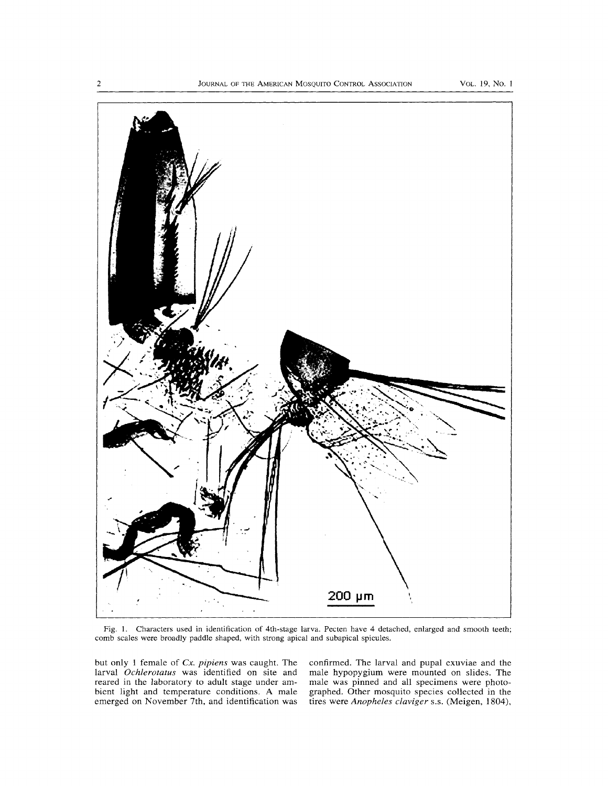

Fig. Characters used in identification of 4th-stage larva. Pecten have 4 detached, enlarged and smooth teeth; comb scales were broadly paddle shaped, with strong apical and subapical spicules.

but only 1 female of  $Cx$ . pipiens was caught. The larval Ochlerotatus was identified on site and reared in the laboratory to adult stage under ambient light and temperature conditions. A male emerged on November 7th, and identification was confirmed. The larval and pupal exuviae and the male hypopygium were mounted on slides. The male was pinned and all specimens were photographed. Other mosquito species collected in the tires were Anopheles claviger s.s. (Meigen, 1804),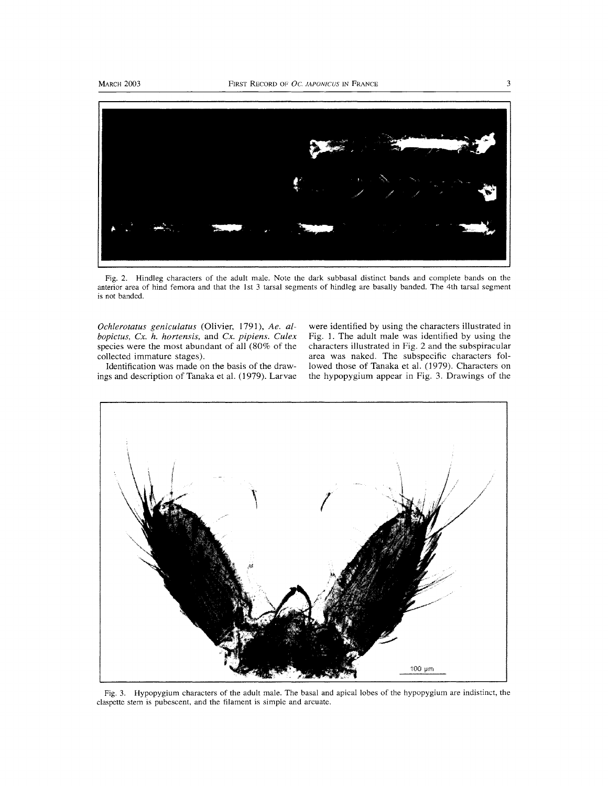

Fig. 2. Hindleg characters of the adult male. Note the dark subbasal distinct bands and complete bands on the anterior area of hind femora and that the 1st <sup>3</sup> tarsal segments of hindleg are basally banded. The 4th tarsal segment is not banded.

Ochlerotatus geniculatus (Olivier, 1791), Ae. albopictus, Cx. h. hortensis, and Cx. pipiens. Culex species were the most abundant of all (80% of the collected immature stages).

were identified by using the characters illustrated in Fig. 1. The adult male was identified by using the characters illustrated in Fig. 2 and the subspiracular area was naked. The subspecific characters followed those of Tanaka et al. (1979). Characters on the hypopygium appear in Fig. 3. Drawings of the

Identification was made on the basis of the drawings and description of Tanaka et al. (1979). Larvae



Fig. 3. Hypopygium characters of the adult male. The basal and apical lobes of the hypopygium are indistinct, the claspette stem is pubescent, and the filament is simple and arcuate.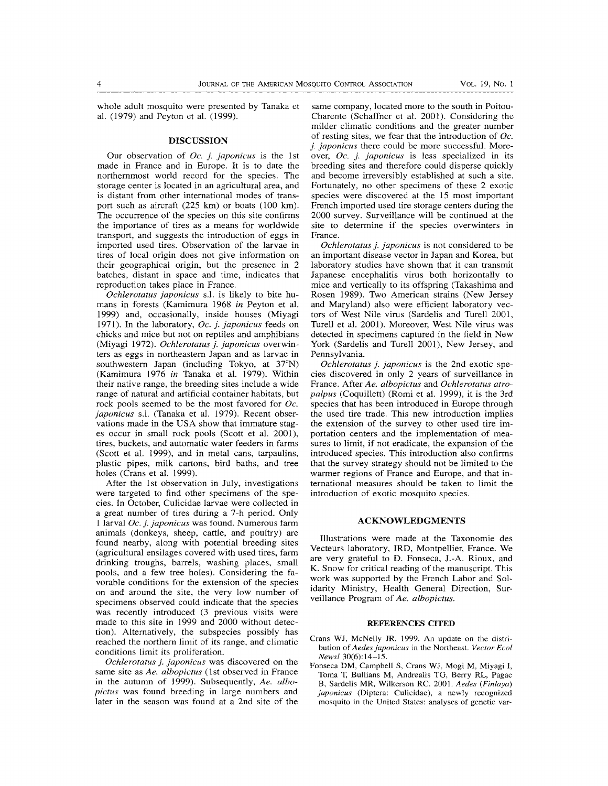whole adult mosquito were presented by Tanaka et al. (1979) and Peyton et al. (1999).

#### DISCUSSION

Our observation of  $Oc$ . *j. japonicus* is the 1st made in France and in Europe. It is to date the northernmost world record for the species. The storage center is located in an agricultural area, and is distant from other international modes of transport such as aircraft (225 km) or boats (100 km). The occurrence of the species on this site confirms the importance of tires as a means for worldwide transport, and suggests the introduction of eggs in imported used tires. Observation of the larvae in tires of local origin does not give information on their geographical origin, but the presence in 2 batches, distant in space and time, indicates that reproduction takes place in France.

Ochlerotatus japonicus S.I. is likely to bite humans in forests (Kamimura 1968 in Peyton et al. 1999) and, occasionally, inside houses (Miyagi 1971). In the laboratory, Oc. j. japonicus feeds on chicks and mice but not on reptiles and amphibians (Miyagi 1972). Ochlerotatus j. japonicus overwinters as eggs in northeastern Japan and as larvae in southwestern Japan (including Tokyo, at 37°N) (Kamimura 1976 in Tanaka et al. 1979). Within their native range, the breeding sites include a wide range of natural and artificial container habitats, but rock pools seemed to be the most favored for Oc. japonicus s.l. (Tanaka et al. 1979). Recent observations made in the USA show that immature stages occur in small rock pools (Scott et al. 2001), tires, buckets, and automatic water feeders in farms (Scott et al. 1999), and in metal cans, tarpaulins, plastic pipes, milk cartons, bird baths, and tree holes (Crans et al. 1999).

After the 1st observation in July, investigations were targeted to find other specimens of the species. In October, Culicidae larvae were collected in a great number of tires during a 7-h period. Only l larval Oc. j. japonicus was found. Numerous farm animals (donkeys, sheep, cattle, and poultry) are found nearby, along with potential breeding sites (agricultural ensilages covered with used tires, farm drinking troughs, barrels, washing places, small pools, and a few tree holes). Considering the favorable conditions for the extension of the species on and around the site, the very low number of specimens observed could indicate that the species was recently introduced (3 previous visits were made to this site in 1999 and 2000 without detection). Alternatively, the subspecies possibly has reached the northern limit of its range, and climatic conditions limit its proliferation.

Ochlerotatus j. japonicus was discovered on the same site as Ae. albopictus (1st observed in France in the autumn of 1999). Subsequently, Ae. albopictus was found breeding in large numbers and later in the season was found at a 2nd site of the

same company, located more to the south in Poitou-Charente (Schaffner et al. 2001). Considering the milder climatic conditions and the greater number of resting sites, we fear that the introduction of  $Oc$ . j. japonicus there could be more successful. Moreover, Oc. j. japonicus is less specialized in its breeding sites and therefore could disperse quickly and become irreversibly established at such a site. Fortunately, no other specimens of these 2 exotic species were discovered at the 15 most important French imported used tire storage centers during the 2000 survey. Surveillance will be continued at the site to determine if the species overwinters in France.

Ochlerotatus j. japonicus is not considered to be an important disease vector in Japan and Korea, but laboratory studies have shown that it can transmit Japanese encephalitis virus both horizontally to mice and vertically to its offspring (Takashima and Rosen 1989). Two American strains (New Jersey and Maryland) also were efficient laboratory vectors of West Nile virus (Sardelis and Turell 2001, Turell et al. 2001). Moreover, West Nile virus was detected in specimens captured in the field in New York (Sardelis and Turell 2001), New Jersey, and Pennsylvania.

Ochlerotatus j. japonicus is the 2nd exotic species discovered in only 2 years of surveillance in France. After Ae. albopictus and Ochlerotatus atropalpus (Coquillett) (Romi et al. 1999), it is the 3rd species that has been introduced in Europe through the used tire trade. This new introduction implies the extension of the survey to other used tire importation centers and the implementation of measures to limit, if not eradicate, the expansion of the introduced species. This introduction also confirms that the survey strategy should not be limited to the warmer regions of France and Europe, and that international measures should be taken to limit the introduction of exotic mosquito species.

### ACKNOWLEDGMENTS

Illustrations were made at the Taxonomie des Vecteurs laboratory, IRD, Montpellier, France. We are very grateful to D. Fonseca, J.-A. Rioux, and K. Snow for critical reading of the manuscript. This work was supported by the French Labor and Solidarity Ministry, Health General Direction, Surveillance Program of Ae. albopictus.

#### REFERENCES CITED

- Crans WJ, McNelly JR. 1999. An update on the distribution of Aedes japonicus in the Northeast. Vector Ecol Newsl 30(6): 14-15.
- Fonseca DM, Campbell S, Crans WJ, Mogi M, Miyagi I, Toma T, Bullians M, Andrealis TG, Berry RL, Pagac B, Sardelis MR, Wilkerson RC. 2001. Aedes (Finlayd) japonicus (Diptera: Culicidae), a newly recognized mosquito in the United States: analyses of genetic var-